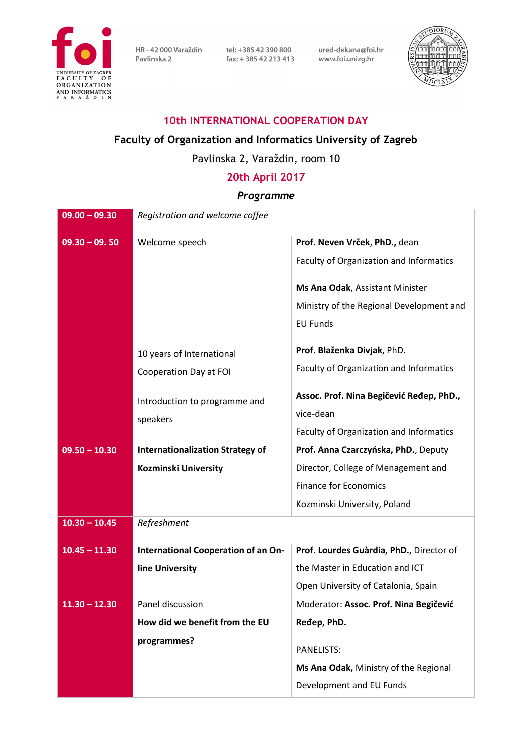

HR - 42 000 Varaždin tel: +385 42 390 800<br>Pavlinska 2 fax: +385 42 213 413 Pavlinska 2

fax: +385 42 213 413

 $\widehat{DIORI}$ nnlmûm m

ured-dekana@foi.hr

www.foi.unizg.hr

#### **10th INTERNATIONAL COOPERATION DAY**

#### **Faculty of Organization and Informatics University of Zagreb**

## Pavlinska 2, Varaždin, room 10

## **20th April 2017**

### *Programme*

| $09.00 - 09.30$ | Registration and welcome coffee         |                                          |
|-----------------|-----------------------------------------|------------------------------------------|
| $09.30 - 09.50$ | Welcome speech                          | Prof. Neven Vrček, PhD., dean            |
|                 |                                         | Faculty of Organization and Informatics  |
|                 |                                         | Ms Ana Odak, Assistant Minister          |
|                 |                                         | Ministry of the Regional Development and |
|                 |                                         | <b>EU Funds</b>                          |
|                 | 10 years of International               | Prof. Blaženka Divjak, PhD.              |
|                 | Cooperation Day at FOI                  | Faculty of Organization and Informatics  |
|                 | Introduction to programme and           | Assoc. Prof. Nina Begičević Ređep, PhD., |
|                 | speakers                                | vice-dean                                |
|                 |                                         | Faculty of Organization and Informatics  |
| $09.50 - 10.30$ | <b>Internationalization Strategy of</b> | Prof. Anna Czarczyńska, PhD., Deputy     |
|                 | <b>Kozminski University</b>             | Director, College of Menagement and      |
|                 |                                         | <b>Finance for Economics</b>             |
|                 |                                         | Kozminski University, Poland             |
| $10.30 - 10.45$ | Refreshment                             |                                          |
| $10.45 - 11.30$ | International Cooperation of an On-     | Prof. Lourdes Guàrdia, PhD., Director of |
|                 | line University                         | the Master in Education and ICT          |
|                 |                                         | Open University of Catalonia, Spain      |
| $11.30 - 12.30$ | Panel discussion                        | Moderator: Assoc. Prof. Nina Begičević   |
|                 | How did we benefit from the EU          | Ređep, PhD.                              |
|                 | programmes?                             |                                          |
|                 |                                         | <b>PANELISTS:</b>                        |
|                 |                                         | Ms Ana Odak, Ministry of the Regional    |
|                 |                                         | Development and EU Funds                 |